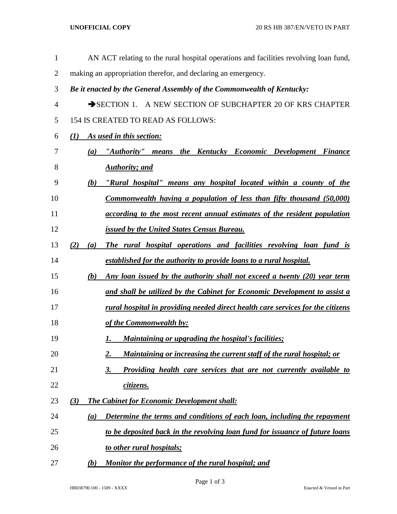| 1              | AN ACT relating to the rural hospital operations and facilities revolving loan fund,          |
|----------------|-----------------------------------------------------------------------------------------------|
| $\overline{2}$ | making an appropriation therefor, and declaring an emergency.                                 |
| 3              | Be it enacted by the General Assembly of the Commonwealth of Kentucky:                        |
| $\overline{4}$ | SECTION 1. A NEW SECTION OF SUBCHAPTER 20 OF KRS CHAPTER                                      |
| 5              | 154 IS CREATED TO READ AS FOLLOWS:                                                            |
| 6              | (1) As used in this section:                                                                  |
| 7              | (a) "Authority" means the Kentucky Economic Development Finance                               |
| 8              | <b>Authority</b> ; and                                                                        |
| 9              | "Rural hospital" means any hospital located within a county of the<br>(b)                     |
| 10             | Commonwealth having a population of less than fifty thousand (50,000)                         |
| 11             | according to the most recent annual estimates of the resident population                      |
| 12             | <b>issued by the United States Census Bureau.</b>                                             |
| 13             | The rural hospital operations and facilities revolving loan fund is<br>(2)<br>(a)             |
| 14             | established for the authority to provide loans to a rural hospital.                           |
| 15             | Any loan issued by the authority shall not exceed a twenty (20) year term<br>(b)              |
| 16             | and shall be utilized by the Cabinet for Economic Development to assist a                     |
| 17             | rural hospital in providing needed direct health care services for the citizens               |
| 18             | of the Commonwealth by:                                                                       |
| 19             | Maintaining or upgrading the hospital's facilities;<br>1.                                     |
| 20             | Maintaining or increasing the current staff of the rural hospital; or<br>2.                   |
| 21             | Providing health care services that are not currently available to<br>3.                      |
| 22             | citizens.                                                                                     |
| 23             | <b>The Cabinet for Economic Development shall:</b><br>(3)                                     |
| 24             | Determine the terms and conditions of each loan, including the repayment<br>$\left( a\right)$ |
| 25             | to be deposited back in the revolving loan fund for issuance of future loans                  |
| 26             | to other rural hospitals;                                                                     |
| 27             | Monitor the performance of the rural hospital; and<br>(b)                                     |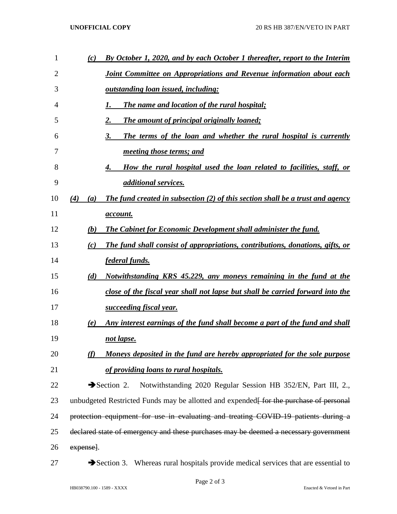| 1  | By October 1, 2020, and by each October 1 thereafter, report to the Interim<br>(c)                  |
|----|-----------------------------------------------------------------------------------------------------|
| 2  | Joint Committee on Appropriations and Revenue information about each                                |
| 3  | outstanding loan issued, including:                                                                 |
| 4  | The name and location of the rural hospital;                                                        |
| 5  | The amount of principal originally loaned;<br>2.                                                    |
| 6  | The terms of the loan and whether the rural hospital is currently<br>3.                             |
| 7  | <i>meeting those terms; and</i>                                                                     |
| 8  | How the rural hospital used the loan related to facilities, staff, or<br>4.                         |
| 9  | <i>additional services.</i>                                                                         |
| 10 | <b>The fund created in subsection (2) of this section shall be a trust and agency</b><br>(4)<br>(a) |
| 11 | <i>account.</i>                                                                                     |
| 12 | The Cabinet for Economic Development shall administer the fund.<br>(b)                              |
| 13 | The fund shall consist of appropriations, contributions, donations, gifts, or<br>(c)                |
| 14 | federal funds.                                                                                      |
| 15 | Notwithstanding KRS 45.229, any moneys remaining in the fund at the<br>(d)                          |
| 16 | close of the fiscal year shall not lapse but shall be carried forward into the                      |
| 17 | succeeding fiscal year.                                                                             |
| 18 | Any interest earnings of the fund shall become a part of the fund and shall<br>(e)                  |
| 19 | not lapse.                                                                                          |
| 20 | Moneys deposited in the fund are hereby appropriated for the sole purpose<br>(f)                    |
| 21 | of providing loans to rural hospitals.                                                              |
| 22 | Notwithstanding 2020 Regular Session HB 352/EN, Part III, 2.,<br>$\blacktriangleright$ Section 2.   |
| 23 | unbudgeted Restricted Funds may be allotted and expended <del> for the purchase of personal</del>   |
| 24 | protection equipment for use in evaluating and treating COVID-19 patients during a                  |
| 25 | declared state of emergency and these purchases may be deemed a necessary government                |
| 26 | expense].                                                                                           |
| 27 | Section 3. Whereas rural hospitals provide medical services that are essential to                   |